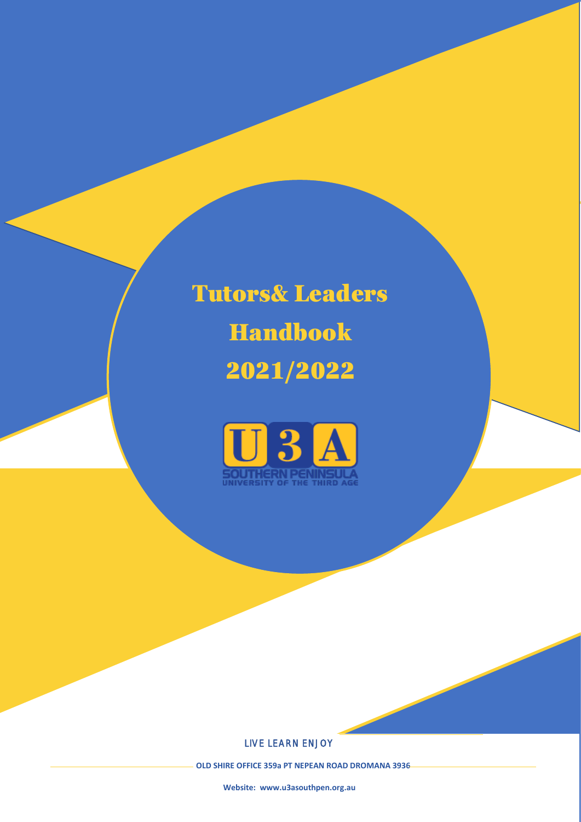Tutors& Leaders Handbook 2021/2022



#### LIVE LEARN ENJOY

 **OLD SHIRE OFFICE 359a PT NEPEAN ROAD DROMANA 3936**

**Website: [www.u3asouthpen.org.au](http://www.u3asouthpen.org.au/)**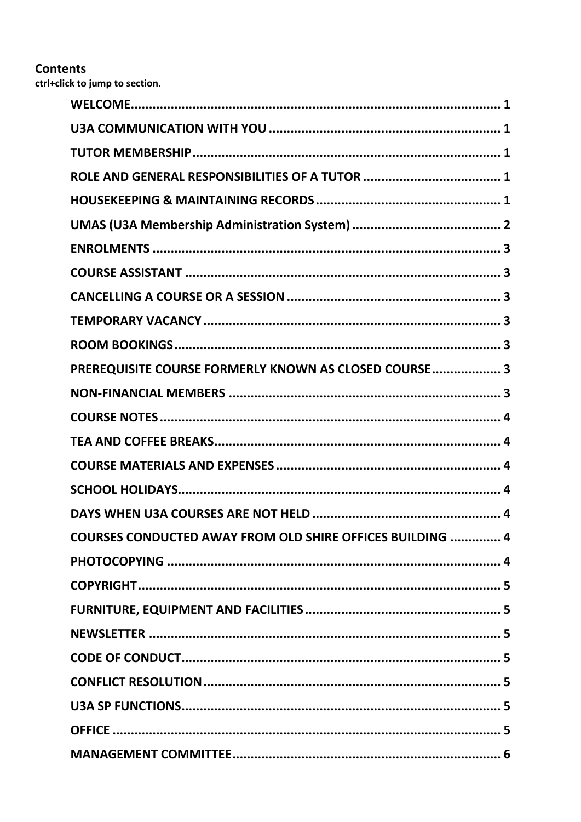# **Contents**

ctrl+click to jump to section.

| PREREQUISITE COURSE FORMERLY KNOWN AS CLOSED COURSE 3            |
|------------------------------------------------------------------|
|                                                                  |
|                                                                  |
|                                                                  |
|                                                                  |
|                                                                  |
|                                                                  |
| <b>COURSES CONDUCTED AWAY FROM OLD SHIRE OFFICES BUILDING  4</b> |
|                                                                  |
|                                                                  |
|                                                                  |
|                                                                  |
|                                                                  |
|                                                                  |
|                                                                  |
|                                                                  |
|                                                                  |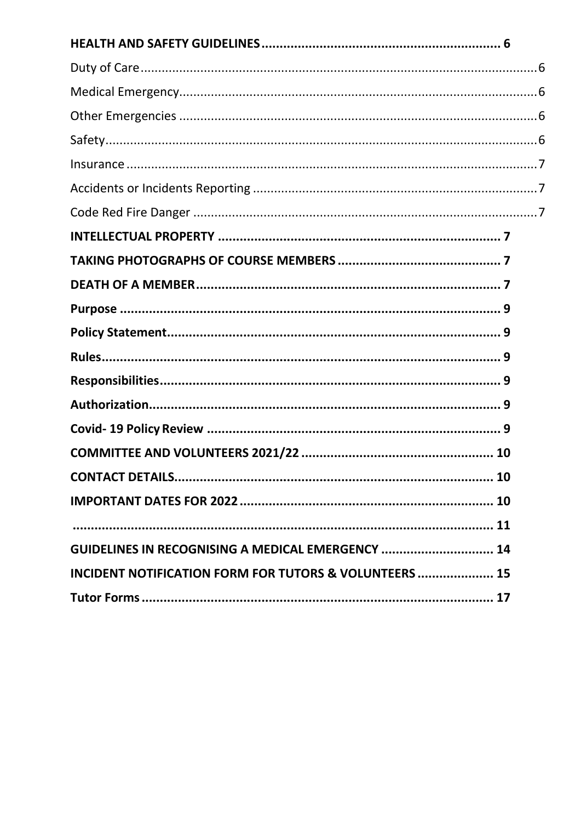| GUIDELINES IN RECOGNISING A MEDICAL EMERGENCY  14                 |  |
|-------------------------------------------------------------------|--|
| <b>INCIDENT NOTIFICATION FORM FOR TUTORS &amp; VOLUNTEERS  15</b> |  |
|                                                                   |  |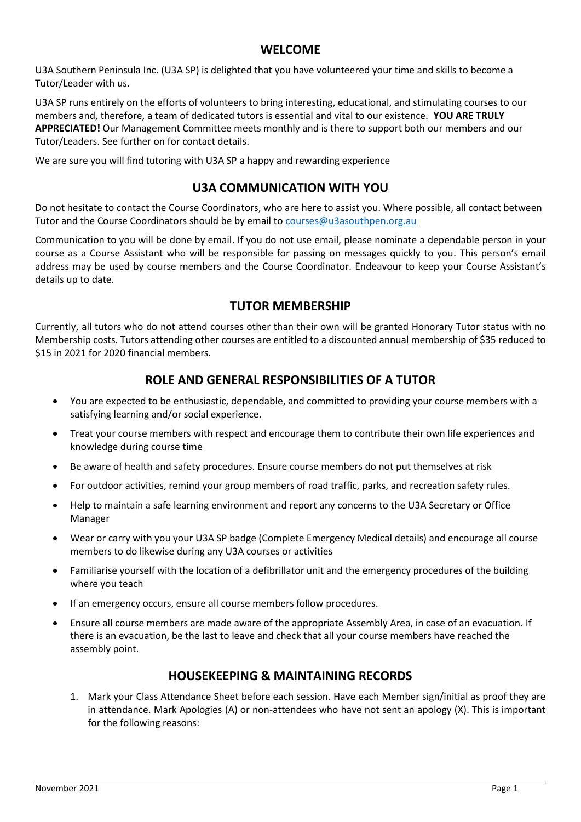# **WELCOME**

<span id="page-3-0"></span>U3A Southern Peninsula Inc. (U3A SP) is delighted that you have volunteered your time and skills to become a Tutor/Leader with us.

U3A SP runs entirely on the efforts of volunteers to bring interesting, educational, and stimulating courses to our members and, therefore, a team of dedicated tutors is essential and vital to our existence. **YOU ARE TRULY APPRECIATED!** Our Management Committee meets monthly and is there to support both our members and our Tutor/Leaders. See further on for contact details.

<span id="page-3-1"></span>We are sure you will find tutoring with U3A SP a happy and rewarding experience

# **U3A COMMUNICATION WITH YOU**

Do not hesitate to contact the Course Coordinators, who are here to assist you. Where possible, all contact between Tutor and the Course Coordinators should be by email to [courses@u3asouthpen.org.au](mailto:courses@u3asouthpen.org.au)

Communication to you will be done by email. If you do not use email, please nominate a dependable person in your course as a Course Assistant who will be responsible for passing on messages quickly to you. This person's email address may be used by course members and the Course Coordinator. Endeavour to keep your Course Assistant's details up to date.

# **TUTOR MEMBERSHIP**

<span id="page-3-2"></span>Currently, all tutors who do not attend courses other than their own will be granted Honorary Tutor status with no Membership costs. Tutors attending other courses are entitled to a discounted annual membership of \$35 reduced to \$15 in 2021 for 2020 financial members.

# **ROLE AND GENERAL RESPONSIBILITIES OF A TUTOR**

- <span id="page-3-3"></span>• You are expected to be enthusiastic, dependable, and committed to providing your course members with a satisfying learning and/or social experience.
- Treat your course members with respect and encourage them to contribute their own life experiences and knowledge during course time
- Be aware of health and safety procedures. Ensure course members do not put themselves at risk
- For outdoor activities, remind your group members of road traffic, parks, and recreation safety rules.
- Help to maintain a safe learning environment and report any concerns to the U3A Secretary or Office Manager
- Wear or carry with you your U3A SP badge (Complete Emergency Medical details) and encourage all course members to do likewise during any U3A courses or activities
- Familiarise yourself with the location of a defibrillator unit and the emergency procedures of the building where you teach
- If an emergency occurs, ensure all course members follow procedures.
- Ensure all course members are made aware of the appropriate Assembly Area, in case of an evacuation. If there is an evacuation, be the last to leave and check that all your course members have reached the assembly point.

#### **HOUSEKEEPING & MAINTAINING RECORDS**

<span id="page-3-4"></span>1. Mark your Class Attendance Sheet before each session. Have each Member sign/initial as proof they are in attendance. Mark Apologies (A) or non-attendees who have not sent an apology (X). This is important for the following reasons: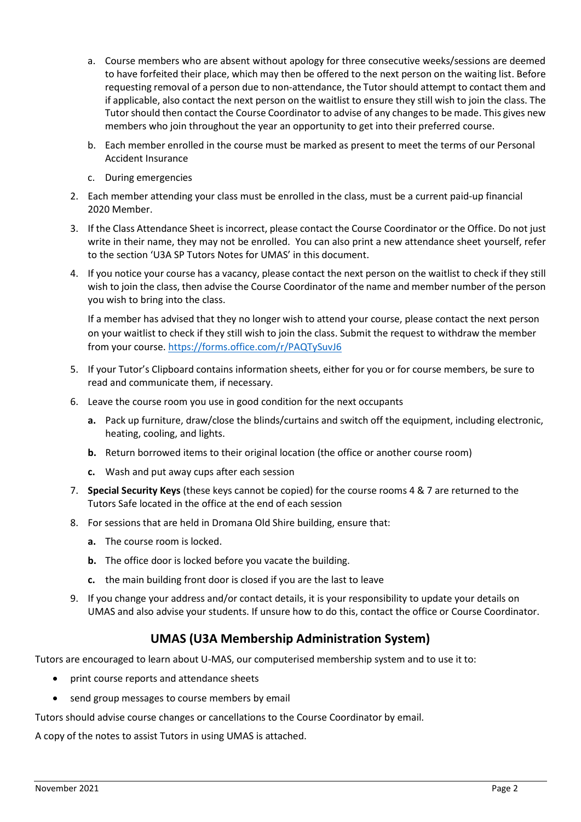- a. Course members who are absent without apology for three consecutive weeks/sessions are deemed to have forfeited their place, which may then be offered to the next person on the waiting list. Before requesting removal of a person due to non-attendance, the Tutor should attempt to contact them and if applicable, also contact the next person on the waitlist to ensure they still wish to join the class. The Tutor should then contact the Course Coordinator to advise of any changes to be made. This gives new members who join throughout the year an opportunity to get into their preferred course.
- b. Each member enrolled in the course must be marked as present to meet the terms of our Personal Accident Insurance
- c. During emergencies
- 2. Each member attending your class must be enrolled in the class, must be a current paid-up financial 2020 Member.
- 3. If the Class Attendance Sheet is incorrect, please contact the Course Coordinator or the Office. Do not just write in their name, they may not be enrolled. You can also print a new attendance sheet yourself, refer to the section 'U3A SP Tutors Notes for UMAS' in this document.
- 4. If you notice your course has a vacancy, please contact the next person on the waitlist to check if they still wish to join the class, then advise the Course Coordinator of the name and member number of the person you wish to bring into the class.

If a member has advised that they no longer wish to attend your course, please contact the next person on your waitlist to check if they still wish to join the class. Submit the request to withdraw the member from your course. <https://forms.office.com/r/PAQTySuvJ6>

- 5. If your Tutor's Clipboard contains information sheets, either for you or for course members, be sure to read and communicate them, if necessary.
- 6. Leave the course room you use in good condition for the next occupants
	- **a.** Pack up furniture, draw/close the blinds/curtains and switch off the equipment, including electronic, heating, cooling, and lights.
	- **b.** Return borrowed items to their original location (the office or another course room)
	- **c.** Wash and put away cups after each session
- 7. **Special Security Keys** (these keys cannot be copied) for the course rooms 4 & 7 are returned to the Tutors Safe located in the office at the end of each session
- 8. For sessions that are held in Dromana Old Shire building, ensure that:
	- **a.** The course room is locked.
	- **b.** The office door is locked before you vacate the building.
	- **c.** the main building front door is closed if you are the last to leave
- 9. If you change your address and/or contact details, it is your responsibility to update your details on UMAS and also advise your students. If unsure how to do this, contact the office or Course Coordinator.

# **UMAS (U3A Membership Administration System)**

<span id="page-4-0"></span>Tutors are encouraged to learn about U-MAS, our computerised membership system and to use it to:

- print course reports and attendance sheets
- send group messages to course members by email

Tutors should advise course changes or cancellations to the Course Coordinator by email.

A copy of the notes to assist Tutors in using UMAS is attached.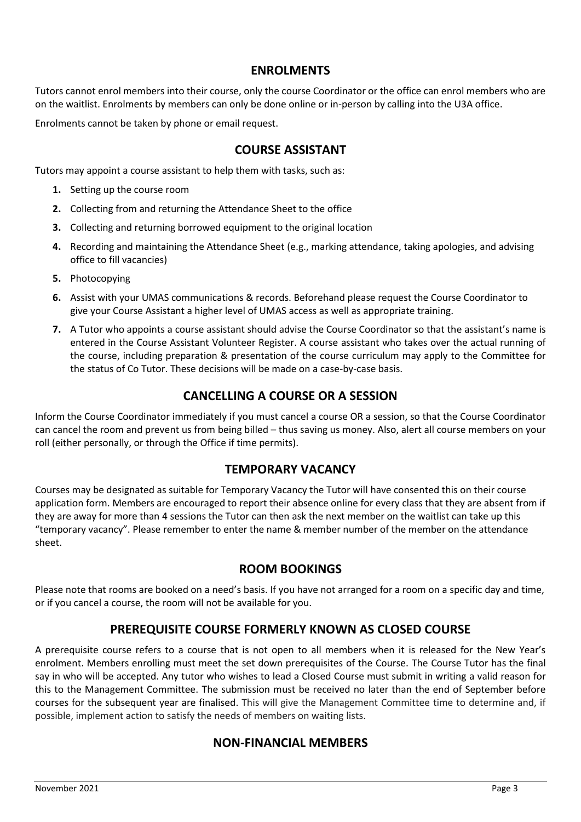# **ENROLMENTS**

<span id="page-5-0"></span>Tutors cannot enrol members into their course, only the course Coordinator or the office can enrol members who are on the waitlist. Enrolments by members can only be done online or in-person by calling into the U3A office.

<span id="page-5-1"></span>Enrolments cannot be taken by phone or email request.

# **COURSE ASSISTANT**

Tutors may appoint a course assistant to help them with tasks, such as:

- **1.** Setting up the course room
- **2.** Collecting from and returning the Attendance Sheet to the office
- **3.** Collecting and returning borrowed equipment to the original location
- **4.** Recording and maintaining the Attendance Sheet (e.g., marking attendance, taking apologies, and advising office to fill vacancies)
- **5.** Photocopying
- **6.** Assist with your UMAS communications & records. Beforehand please request the Course Coordinator to give your Course Assistant a higher level of UMAS access as well as appropriate training.
- **7.** A Tutor who appoints a course assistant should advise the Course Coordinator so that the assistant's name is entered in the Course Assistant Volunteer Register. A course assistant who takes over the actual running of the course, including preparation & presentation of the course curriculum may apply to the Committee for the status of Co Tutor. These decisions will be made on a case-by-case basis.

# **CANCELLING A COURSE OR A SESSION**

<span id="page-5-2"></span>Inform the Course Coordinator immediately if you must cancel a course OR a session, so that the Course Coordinator can cancel the room and prevent us from being billed – thus saving us money. Also, alert all course members on your roll (either personally, or through the Office if time permits).

# **TEMPORARY VACANCY**

<span id="page-5-3"></span>Courses may be designated as suitable for Temporary Vacancy the Tutor will have consented this on their course application form. Members are encouraged to report their absence online for every class that they are absent from if they are away for more than 4 sessions the Tutor can then ask the next member on the waitlist can take up this "temporary vacancy". Please remember to enter the name & member number of the member on the attendance sheet.

# **ROOM BOOKINGS**

<span id="page-5-4"></span>Please note that rooms are booked on a need's basis. If you have not arranged for a room on a specific day and time, or if you cancel a course, the room will not be available for you.

#### **PREREQUISITE COURSE FORMERLY KNOWN AS CLOSED COURSE**

<span id="page-5-6"></span><span id="page-5-5"></span>A prerequisite course refers to a course that is not open to all members when it is released for the New Year's enrolment. Members enrolling must meet the set down prerequisites of the Course. The Course Tutor has the final say in who will be accepted. Any tutor who wishes to lead a Closed Course must submit in writing a valid reason for this to the Management Committee. The submission must be received no later than the end of September before courses for the subsequent year are finalised. This will give the Management Committee time to determine and, if possible, implement action to satisfy the needs of members on waiting lists.

#### **NON-FINANCIAL MEMBERS**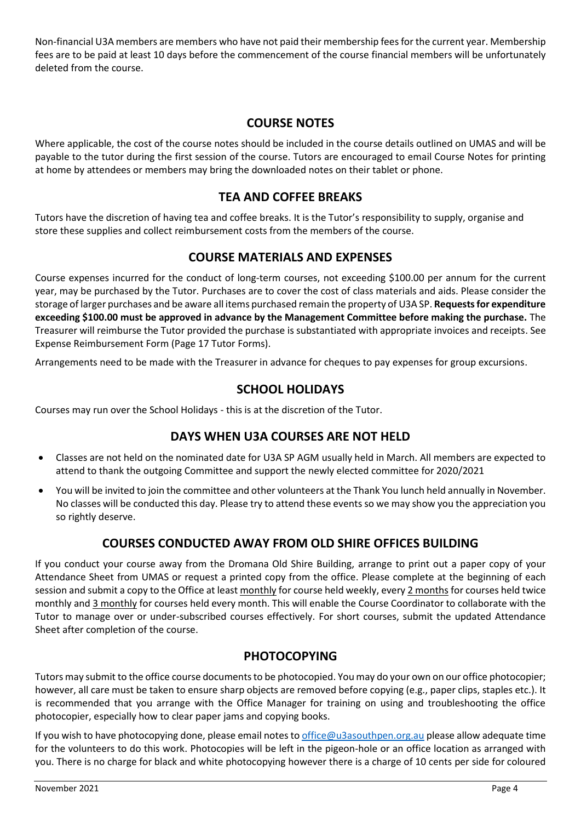Non-financial U3A members are members who have not paid their membership fees for the current year. Membership fees are to be paid at least 10 days before the commencement of the course financial members will be unfortunately deleted from the course.

# **COURSE NOTES**

<span id="page-6-0"></span>Where applicable, the cost of the course notes should be included in the course details outlined on UMAS and will be payable to the tutor during the first session of the course. Tutors are encouraged to email Course Notes for printing at home by attendees or members may bring the downloaded notes on their tablet or phone.

# **TEA AND COFFEE BREAKS**

<span id="page-6-1"></span>Tutors have the discretion of having tea and coffee breaks. It is the Tutor's responsibility to supply, organise and store these supplies and collect reimbursement costs from the members of the course.

# **COURSE MATERIALS AND EXPENSES**

<span id="page-6-2"></span>Course expenses incurred for the conduct of long-term courses, not exceeding \$100.00 per annum for the current year, may be purchased by the Tutor. Purchases are to cover the cost of class materials and aids. Please consider the storage of larger purchases and be aware all items purchased remain the property of U3A SP. **Requests for expenditure exceeding \$100.00 must be approved in advance by the Management Committee before making the purchase.** The Treasurer will reimburse the Tutor provided the purchase is substantiated with appropriate invoices and receipts. See Expense Reimbursement Form (Page 17 Tutor Forms).

<span id="page-6-3"></span>Arrangements need to be made with the Treasurer in advance for cheques to pay expenses for group excursions.

# **SCHOOL HOLIDAYS**

<span id="page-6-4"></span>Courses may run over the School Holidays - this is at the discretion of the Tutor.

# **DAYS WHEN U3A COURSES ARE NOT HELD**

- Classes are not held on the nominated date for U3A SP AGM usually held in March. All members are expected to attend to thank the outgoing Committee and support the newly elected committee for 2020/2021
- You will be invited to join the committee and other volunteers at the Thank You lunch held annually in November. No classes will be conducted this day. Please try to attend these events so we may show you the appreciation you so rightly deserve.

# **COURSES CONDUCTED AWAY FROM OLD SHIRE OFFICES BUILDING**

<span id="page-6-5"></span>If you conduct your course away from the Dromana Old Shire Building, arrange to print out a paper copy of your Attendance Sheet from UMAS or request a printed copy from the office. Please complete at the beginning of each session and submit a copy to the Office at least monthly for course held weekly, every 2 months for courses held twice monthly and 3 monthly for courses held every month. This will enable the Course Coordinator to collaborate with the Tutor to manage over or under-subscribed courses effectively. For short courses, submit the updated Attendance Sheet after completion of the course.

# **PHOTOCOPYING**

<span id="page-6-6"></span>Tutors may submit to the office course documents to be photocopied. You may do your own on our office photocopier; however, all care must be taken to ensure sharp objects are removed before copying (e.g., paper clips, staples etc.). It is recommended that you arrange with the Office Manager for training on using and troubleshooting the office photocopier, especially how to clear paper jams and copying books.

If you wish to have photocopying done, please email notes t[o office@u3asouthpen.org.au](mailto:office@u3asouthpen.org.au) please allow adequate time for the volunteers to do this work. Photocopies will be left in the pigeon-hole or an office location as arranged with you. There is no charge for black and white photocopying however there is a charge of 10 cents per side for coloured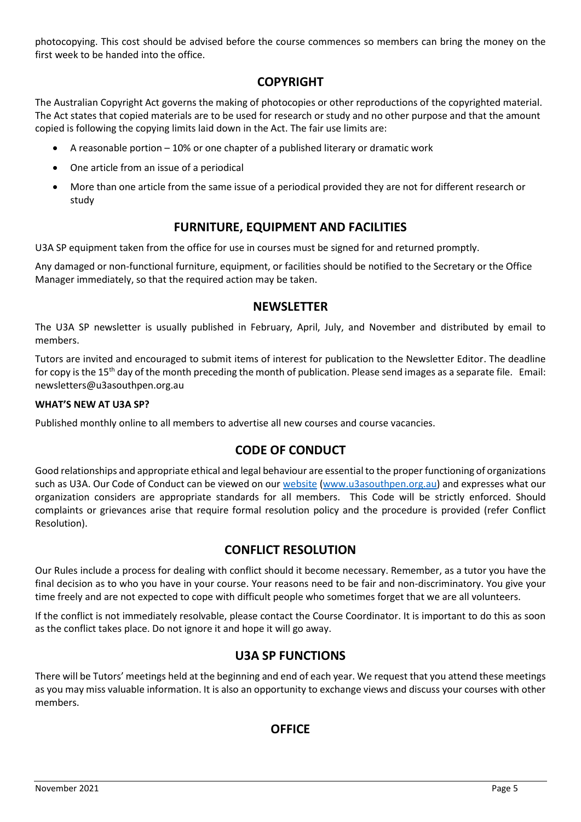photocopying. This cost should be advised before the course commences so members can bring the money on the first week to be handed into the office.

# **COPYRIGHT**

<span id="page-7-0"></span>The Australian Copyright Act governs the making of photocopies or other reproductions of the copyrighted material. The Act states that copied materials are to be used for research or study and no other purpose and that the amount copied is following the copying limits laid down in the Act. The fair use limits are:

- A reasonable portion 10% or one chapter of a published literary or dramatic work
- One article from an issue of a periodical
- More than one article from the same issue of a periodical provided they are not for different research or study

# **FURNITURE, EQUIPMENT AND FACILITIES**

<span id="page-7-1"></span>U3A SP equipment taken from the office for use in courses must be signed for and returned promptly.

Any damaged or non-functional furniture, equipment, or facilities should be notified to the Secretary or the Office Manager immediately, so that the required action may be taken.

# **NEWSLETTER**

<span id="page-7-2"></span>The U3A SP newsletter is usually published in February, April, July, and November and distributed by email to members.

Tutors are invited and encouraged to submit items of interest for publication to the Newsletter Editor. The deadline for copy is the 15<sup>th</sup> day of the month preceding the month of publication. Please send images as a separate file. Email: newsletters@u3asouthpen.org.au

#### **WHAT'S NEW AT U3A SP?**

<span id="page-7-3"></span>Published monthly online to all members to advertise all new courses and course vacancies.

# **CODE OF CONDUCT**

Good relationships and appropriate ethical and legal behaviour are essential to the proper functioning of organizations such as U3A. Our Code of Conduct can be viewed on our [website](http://www.u3asouthpen.org.au/about-us/code-of-conduct) [\(www.u3asouthpen.org.au\)](http://www.u3asouthpen.org.au/) and expresses what our organization considers are appropriate standards for all members. This Code will be strictly enforced. Should complaints or grievances arise that require formal resolution policy and the procedure is provided (refer Conflict Resolution).

# **CONFLICT RESOLUTION**

<span id="page-7-4"></span>Our Rules include a process for dealing with conflict should it become necessary. Remember, as a tutor you have the final decision as to who you have in your course. Your reasons need to be fair and non-discriminatory. You give your time freely and are not expected to cope with difficult people who sometimes forget that we are all volunteers.

If the conflict is not immediately resolvable, please contact the Course Coordinator. It is important to do this as soon as the conflict takes place. Do not ignore it and hope it will go away.

# **U3A SP FUNCTIONS**

<span id="page-7-6"></span><span id="page-7-5"></span>There will be Tutors' meetings held at the beginning and end of each year. We request that you attend these meetings as you may miss valuable information. It is also an opportunity to exchange views and discuss your courses with other members.

# **OFFICE**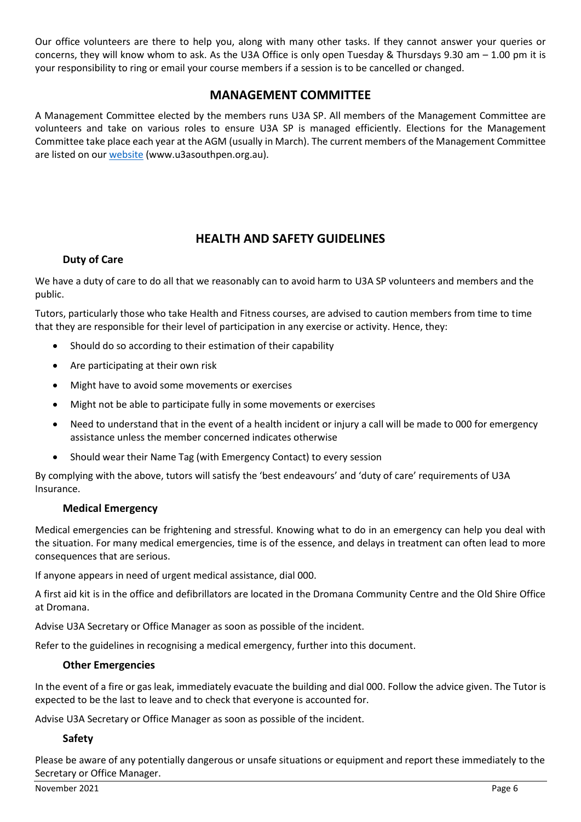Our office volunteers are there to help you, along with many other tasks. If they cannot answer your queries or concerns, they will know whom to ask. As the U3A Office is only open Tuesday & Thursdays 9.30 am – 1.00 pm it is your responsibility to ring or email your course members if a session is to be cancelled or changed.

# **MANAGEMENT COMMITTEE**

<span id="page-8-0"></span>A Management Committee elected by the members runs U3A SP. All members of the Management Committee are volunteers and take on various roles to ensure U3A SP is managed efficiently. Elections for the Management Committee take place each year at the AGM (usually in March). The current members of the Management Committee are listed on our [website](http://www.u3asouthpen.org.au/about-us/our-team) (www.u3asouthpen.org.au).

# **HEALTH AND SAFETY GUIDELINES**

#### <span id="page-8-1"></span>**Duty of Care**

<span id="page-8-2"></span>We have a duty of care to do all that we reasonably can to avoid harm to U3A SP volunteers and members and the public.

Tutors, particularly those who take Health and Fitness courses, are advised to caution members from time to time that they are responsible for their level of participation in any exercise or activity. Hence, they:

- Should do so according to their estimation of their capability
- Are participating at their own risk
- Might have to avoid some movements or exercises
- Might not be able to participate fully in some movements or exercises
- Need to understand that in the event of a health incident or injury a call will be made to 000 for emergency assistance unless the member concerned indicates otherwise
- Should wear their Name Tag (with Emergency Contact) to every session

By complying with the above, tutors will satisfy the 'best endeavours' and 'duty of care' requirements of U3A Insurance.

#### **Medical Emergency**

<span id="page-8-3"></span>Medical emergencies can be frightening and stressful. Knowing what to do in an emergency can help you deal with the situation. For many medical emergencies, time is of the essence, and delays in treatment can often lead to more consequences that are serious.

If anyone appears in need of urgent medical assistance, dial 000.

A first aid kit is in the office and defibrillators are located in the Dromana Community Centre and the Old Shire Office at Dromana.

Advise U3A Secretary or Office Manager as soon as possible of the incident.

<span id="page-8-4"></span>Refer to the guidelines in recognising a medical emergency, further into this document.

#### **Other Emergencies**

In the event of a fire or gas leak, immediately evacuate the building and dial 000. Follow the advice given. The Tutor is expected to be the last to leave and to check that everyone is accounted for.

<span id="page-8-5"></span>Advise U3A Secretary or Office Manager as soon as possible of the incident.

#### **Safety**

Please be aware of any potentially dangerous or unsafe situations or equipment and report these immediately to the Secretary or Office Manager.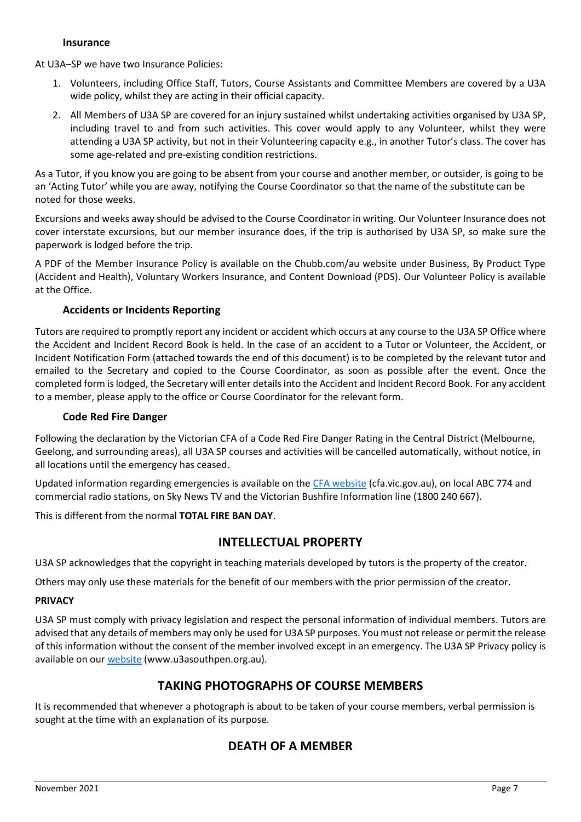#### **Insurance**

<span id="page-9-0"></span>At U3A–SP we have two Insurance Policies:

- 1. Volunteers, including Office Staff, Tutors, Course Assistants and Committee Members are covered by a U3A wide policy, whilst they are acting in their official capacity.
- 2. All Members of U3A SP are covered for an injury sustained whilst undertaking activities organised by U3A SP, including travel to and from such activities. This cover would apply to any Volunteer, whilst they were attending a U3A SP activity, but not in their Volunteering capacity e.g., in another Tutor's class. The cover has some age-related and pre-existing condition restrictions.

As a Tutor, if you know you are going to be absent from your course and another member, or outsider, is going to be an 'Acting Tutor' while you are away, notifying the Course Coordinator so that the name of the substitute can be noted for those weeks.

Excursions and weeks away should be advised to the Course Coordinator in writing. Our Volunteer Insurance does not cover interstate excursions, but our member insurance does, if the trip is authorised by U3A SP, so make sure the paperwork is lodged before the trip.

A PDF of the Member Insurance Policy is available on the Chubb.com/au website under Business, By Product Type (Accident and Health), Voluntary Workers Insurance, and Content Download (PDS). Our Volunteer Policy is available at the Office.

#### **Accidents or Incidents Reporting**

<span id="page-9-1"></span>Tutors are required to promptly report any incident or accident which occurs at any course to the U3A SP Office where the Accident and Incident Record Book is held. In the case of an accident to a Tutor or Volunteer, the Accident, or Incident Notification Form (attached towards the end of this document) is to be completed by the relevant tutor and emailed to the Secretary and copied to the Course Coordinator, as soon as possible after the event. Once the completed form is lodged, the Secretary will enter details into the Accident and Incident Record Book. For any accident to a member, please apply to the office or Course Coordinator for the relevant form.

#### **Code Red Fire Danger**

<span id="page-9-2"></span>Following the declaration by the Victorian CFA of a Code Red Fire Danger Rating in the Central District (Melbourne, Geelong, and surrounding areas), all U3A SP courses and activities will be cancelled automatically, without notice, in all locations until the emergency has ceased.

Updated information regarding emergencies is available on th[e CFA website](http://www.cfa.vic.gov.au/) (cfa.vic.gov.au), on local ABC 774 and commercial radio stations, on Sky News TV and the Victorian Bushfire Information line (1800 240 667).

<span id="page-9-3"></span>This is different from the normal **TOTAL FIRE BAN DAY**.

# **INTELLECTUAL PROPERTY**

U3A SP acknowledges that the copyright in teaching materials developed by tutors is the property of the creator.

Others may only use these materials for the benefit of our members with the prior permission of the creator.

#### **PRIVACY**

U3A SP must comply with privacy legislation and respect the personal information of individual members. Tutors are advised that any details of members may only be used for U3A SP purposes. You must not release or permit the release of this information without the consent of the member involved except in an emergency. The U3A SP Privacy policy is available on our [website](http://www.u3asouthpen.org.au/images/Documents/U3A-Privacy-Policy01.pdf) (www.u3asouthpen.org.au).

# **TAKING PHOTOGRAPHS OF COURSE MEMBERS**

<span id="page-9-5"></span><span id="page-9-4"></span>It is recommended that whenever a photograph is about to be taken of your course members, verbal permission is sought at the time with an explanation of its purpose.

# **DEATH OF A MEMBER**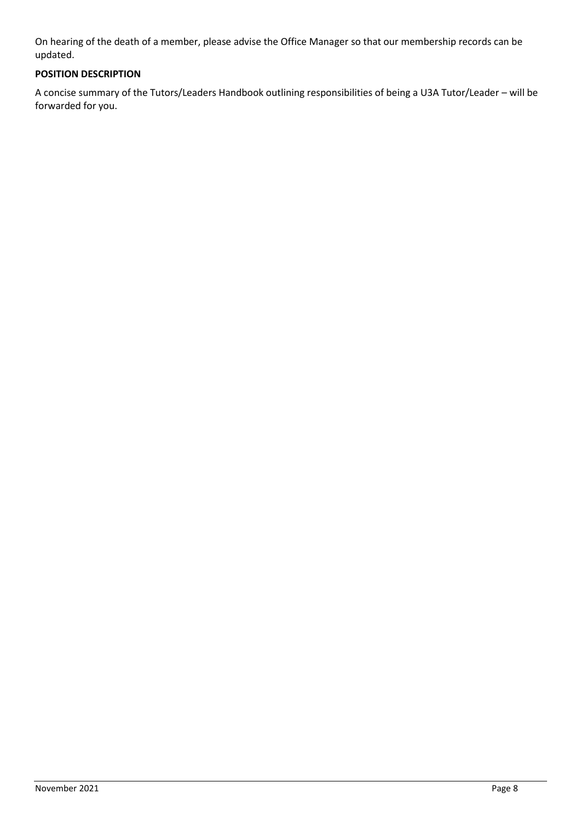On hearing of the death of a member, please advise the Office Manager so that our membership records can be updated.

# **POSITION DESCRIPTION**

A concise summary of the Tutors/Leaders Handbook outlining responsibilities of being a U3A Tutor/Leader – will be forwarded for you.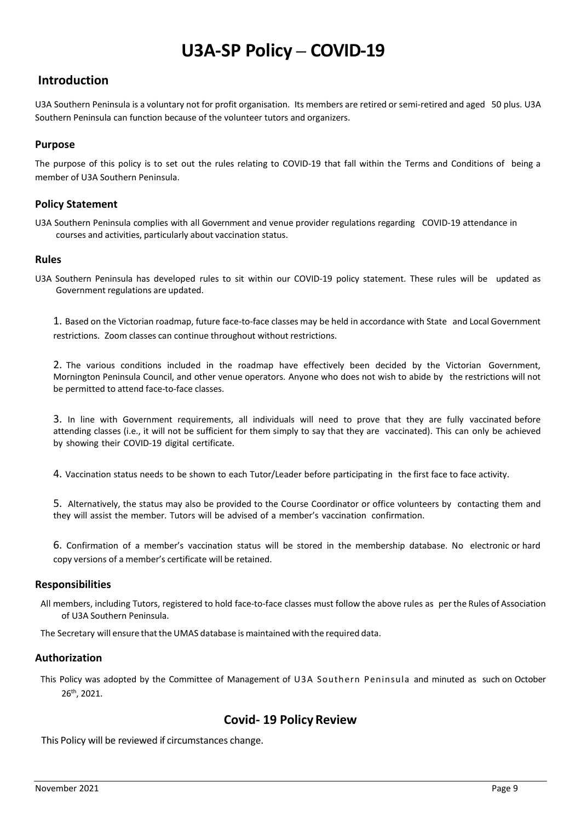# **U3A-SP Policy – COVID-19**

# **Introduction**

U3A Southern Peninsula is a voluntary not for profit organisation. Its members are retired or semi-retired and aged 50 plus. U3A Southern Peninsula can function because of the volunteer tutors and organizers.

#### <span id="page-11-0"></span>**Purpose**

The purpose of this policy is to set out the rules relating to COVID-19 that fall within the Terms and Conditions of being a member of U3A Southern Peninsula.

#### <span id="page-11-1"></span>**Policy Statement**

U3A Southern Peninsula complies with all Government and venue provider regulations regarding COVID-19 attendance in courses and activities, particularly about vaccination status.

#### <span id="page-11-2"></span>**Rules**

U3A Southern Peninsula has developed rules to sit within our COVID-19 policy statement. These rules will be updated as Government regulations are updated.

1. Based on the Victorian roadmap, future face-to-face classes may be held in accordance with State and Local Government restrictions. Zoom classes can continue throughout without restrictions.

2. The various conditions included in the roadmap have effectively been decided by the Victorian Government, Mornington Peninsula Council, and other venue operators. Anyone who does not wish to abide by the restrictions will not be permitted to attend face-to-face classes.

3. In line with Government requirements, all individuals will need to prove that they are fully vaccinated before attending classes (i.e., it will not be sufficient for them simply to say that they are vaccinated). This can only be achieved by showing their COVID-19 digital certificate.

4. Vaccination status needs to be shown to each Tutor/Leader before participating in the first face to face activity.

5. Alternatively, the status may also be provided to the Course Coordinator or office volunteers by contacting them and they will assist the member. Tutors will be advised of a member's vaccination confirmation.

6. Confirmation of a member's vaccination status will be stored in the membership database. No electronic or hard copy versions of a member's certificate will be retained.

#### <span id="page-11-3"></span>**Responsibilities**

All members, including Tutors, registered to hold face-to-face classes must follow the above rules as perthe Rules of Association of U3A Southern Peninsula.

<span id="page-11-4"></span>The Secretary will ensure that the UMAS database is maintained with the required data.

#### **Authorization**

<span id="page-11-5"></span>This Policy was adopted by the Committee of Management of U3A Southern Peninsula and minuted as such on October 26th, 2021.

#### **Covid- 19 Policy Review**

<span id="page-11-6"></span>This Policy will be reviewed if circumstances change.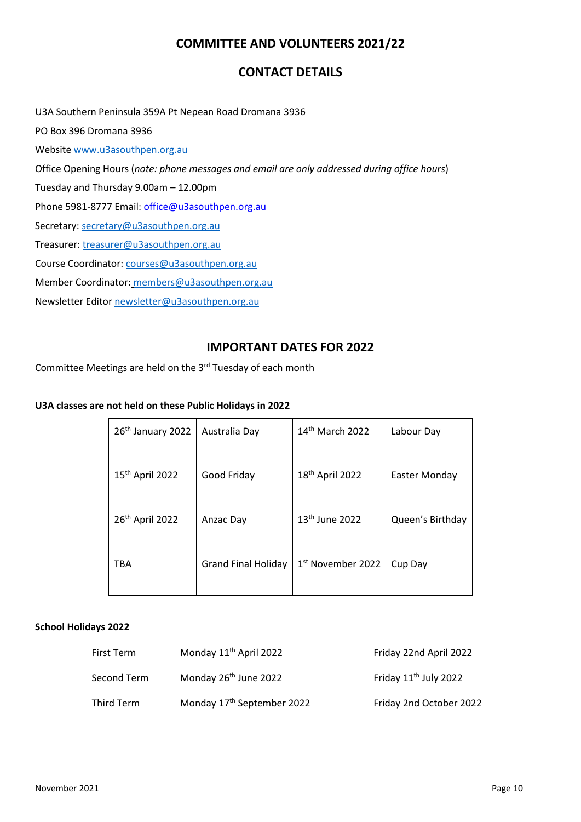# **COMMITTEE AND VOLUNTEERS 2021/22**

# **CONTACT DETAILS**

<span id="page-12-0"></span>U3A Southern Peninsula 359A Pt Nepean Road Dromana 3936 PO Box 396 Dromana 3936 Websit[e www.u3asouthpen.org.au](http://www.u3asouthpen.org.au/) Office Opening Hours (*note: phone messages and email are only addressed during office hours*) Tuesday and Thursday 9.00am – 12.00pm Phone 5981-8777 Email: [office@u3asouthpen.org.au](mailto:office@u3asouthpen.org.au) Secretary[: secretary@u3asouthpen.org.au](mailto:secretary@u3asouthpen.org.au) Treasurer[: treasurer@u3asouthpen.org.au](mailto:treasurer@u3asouthpen.org.au) Course Coordinator: [courses@u3asouthpen.org.au](mailto:courses@u3asouthpen.org.au) Member Coordinator: [members@u3asouthpen.org.au](mailto:members@u3asouthpen.org.au) Newsletter Edito[r newsletter@u3asouthpen.org.au](mailto:newsletter@u3asouthpen.org.au)

# **IMPORTANT DATES FOR 2022**

<span id="page-12-1"></span>Committee Meetings are held on the  $3<sup>rd</sup>$  Tuesday of each month

#### **U3A classes are not held on these Public Holidays in 2022**

| 26 <sup>th</sup> January 2022 | Australia Day              | $14th$ March 2022             | Labour Day       |
|-------------------------------|----------------------------|-------------------------------|------------------|
|                               |                            |                               |                  |
| 15 <sup>th</sup> April 2022   | Good Friday                | 18 <sup>th</sup> April 2022   | Easter Monday    |
|                               |                            |                               |                  |
| 26 <sup>th</sup> April 2022   | Anzac Day                  | 13 <sup>th</sup> June 2022    | Queen's Birthday |
|                               |                            |                               |                  |
| TBA                           | <b>Grand Final Holiday</b> | 1 <sup>st</sup> November 2022 | Cup Day          |
|                               |                            |                               |                  |

#### **School Holidays 2022**

| First Term        | Monday 11 <sup>th</sup> April 2022     | Friday 22nd April 2022            |
|-------------------|----------------------------------------|-----------------------------------|
| Second Term       | Monday 26 <sup>th</sup> June 2022      | Friday 11 <sup>th</sup> July 2022 |
| <b>Third Term</b> | Monday 17 <sup>th</sup> September 2022 | Friday 2nd October 2022           |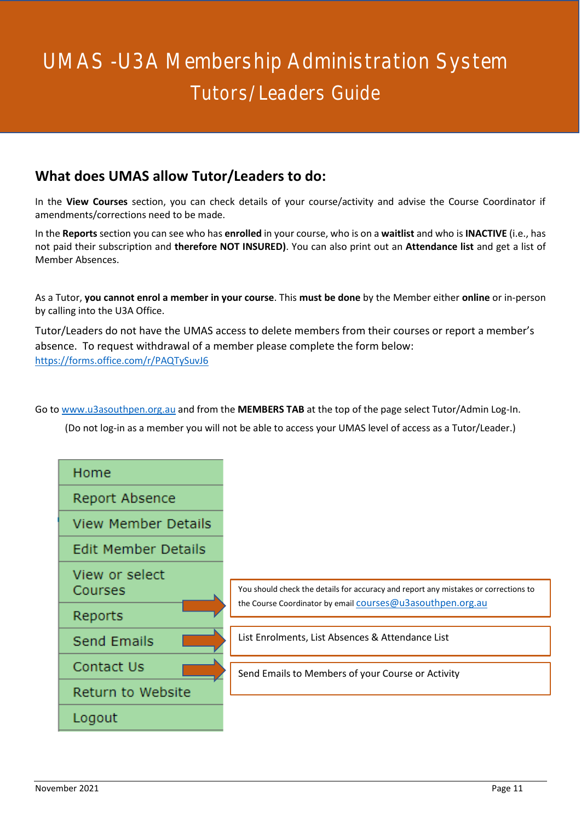# <span id="page-13-0"></span>UMAS -U3A Membership Administration System Tutors/Leaders Guide

# **What does UMAS allow Tutor/Leaders to do:**

In the **View Courses** section, you can check details of your course/activity and advise the Course Coordinator if amendments/corrections need to be made.

In the **Reports** section you can see who has **enrolled** in your course, who is on a **waitlist** and who is **INACTIVE** (i.e., has not paid their subscription and **therefore NOT INSURED)**. You can also print out an **Attendance list** and get a list of Member Absences.

As a Tutor, **you cannot enrol a member in your course**. This **must be done** by the Member either **online** or in-person by calling into the U3A Office.

Tutor/Leaders do not have the UMAS access to delete members from their courses or report a member's absence. To request withdrawal of a member please complete the form below: <https://forms.office.com/r/PAQTySuvJ6>

Go to [www.u3asouthpen.org.au](http://www.u3asouthpen.org.au/) and from the **MEMBERS TAB** at the top of the page select Tutor/Admin Log-In.

(Do not log-in as a member you will not be able to access your UMAS level of access as a Tutor/Leader.)

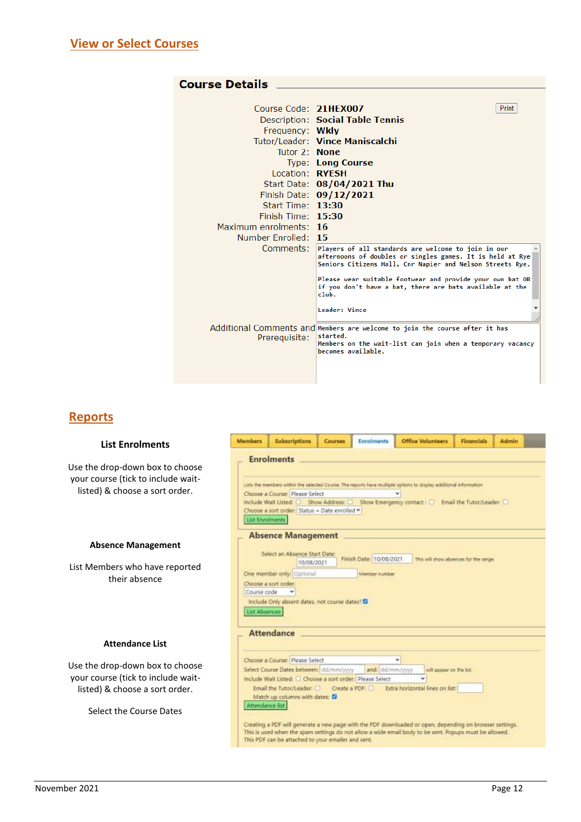| <b>Course Details</b>  |                                                                                                                                                                               |
|------------------------|-------------------------------------------------------------------------------------------------------------------------------------------------------------------------------|
|                        |                                                                                                                                                                               |
| Course Code: 21HEX007  | Print                                                                                                                                                                         |
|                        | Description: Social Table Tennis                                                                                                                                              |
| Frequency: Wkly        |                                                                                                                                                                               |
|                        | Tutor/Leader: Vince Maniscalchi                                                                                                                                               |
| Tutor 2: None          |                                                                                                                                                                               |
|                        | <b>Type: Long Course</b>                                                                                                                                                      |
| Location: <b>RYFSH</b> |                                                                                                                                                                               |
|                        | Start Date: 08/04/2021 Thu                                                                                                                                                    |
|                        | Finish Date: 09/12/2021                                                                                                                                                       |
| Start Time: 13:30      |                                                                                                                                                                               |
| Finish Time: 15:30     |                                                                                                                                                                               |
| Maximum enrolments: 16 |                                                                                                                                                                               |
| Number Enrolled: 15    |                                                                                                                                                                               |
| Comments: .            | Players of all standards are welcome to join in our<br>afternoons of doubles or singles games. It is held at Rye<br>Seniors Citizens Hall, Cnr Napier and Nelson Streets Rye. |
|                        | Please wear suitable footwear and provide your own bat OR<br>if you don't have a bat, there are bats available at the<br>club.                                                |
|                        | Leader: Vince                                                                                                                                                                 |
| Prerequisite:          | Additional Comments and Members are welcome to join the course after it has<br>started.<br>Members on the wait-list can join when a temporary vacancy<br>becomes available.   |
|                        |                                                                                                                                                                               |

# **Reports**

#### **List Enrolments**

Use the drop-down box to choose your course (tick to include waitlisted) & choose a sort order.

#### **Absence Management**

List Members who have reported their absence

#### **Attendance List**

Use the drop-down box to choose your course (tick to include waitlisted) & choose a sort order.

Select the Course Dates

| <b>Mambers</b>         | <b>Subscriptions</b>                                                                        | <b>Courses</b> | Enrolments              | <b>Office Volunteers</b>                                                                                                                                                                                           | Financials                             | Admin |
|------------------------|---------------------------------------------------------------------------------------------|----------------|-------------------------|--------------------------------------------------------------------------------------------------------------------------------------------------------------------------------------------------------------------|----------------------------------------|-------|
|                        | <b>Enrolments</b>                                                                           |                |                         | Usts the members within the selected Course. The reports have multiple options to display additional information                                                                                                   |                                        |       |
| List Enrolments        | Choose a Course: Please Select<br>Choose a sort order: Status + Date enrolled *             |                |                         | Include Wait Listed: [2] Show Address: [2] Show Emergency contact: [2] Email the Tutor/Leader: [2]                                                                                                                 |                                        |       |
|                        | <b>Absence Management</b><br>Select an Absence Start Date:<br>10/08/2021                    |                | Finish Date: 10/08/2021 |                                                                                                                                                                                                                    | This will show absences for the range. |       |
|                        | One member only: Optional                                                                   |                | Member mamber           |                                                                                                                                                                                                                    |                                        |       |
|                        | Choose a sort order:                                                                        |                |                         |                                                                                                                                                                                                                    |                                        |       |
| Course code            |                                                                                             |                |                         |                                                                                                                                                                                                                    |                                        |       |
| List Absences          | Include Only absent dates, not course dates? 22                                             |                |                         |                                                                                                                                                                                                                    |                                        |       |
|                        | <b>Attendance</b>                                                                           |                |                         |                                                                                                                                                                                                                    |                                        |       |
|                        | Choose a Course: Please Select                                                              |                |                         | u                                                                                                                                                                                                                  |                                        |       |
|                        | Select Course Dates between: dd/mm/yyyy and: dd/mm/yyyy                                     |                |                         | will appear on the list.                                                                                                                                                                                           |                                        |       |
|                        | Include Walt Listed: [ Choose a sort order: Please Select<br>Match up columns with dates: C |                |                         | Email the Tutor/Leader: Create a PDF: C Extra horizontal lines on list:                                                                                                                                            |                                        |       |
| <b>Attendance list</b> |                                                                                             |                |                         |                                                                                                                                                                                                                    |                                        |       |
|                        | This PDF can be attached to your emailer and sent.                                          |                |                         | Creating a PDF will generate a new page with the PDF downloaded or open, depending on browser settings.<br>This is used when the sparn settings do not allow a wide email body to be sent. Popups must be allowed. |                                        |       |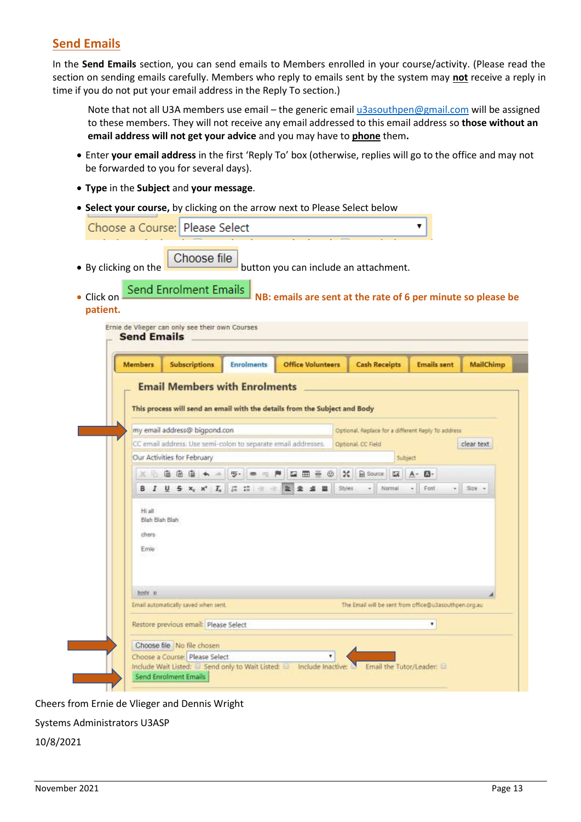# **Send Emails**

In the **Send Emails** section, you can send emails to Members enrolled in your course/activity. (Please read the section on sending emails carefully. Members who reply to emails sent by the system may **not** receive a reply in time if you do not put your email address in the Reply To section.)

Note that not all U3A members use email – the generic emai[l u3asouthpen@gmail.com](mailto:u3asouthpen@gmail.com) will be assigned to these members. They will not receive any email addressed to this email address so **those without an email address will not get your advice** and you may have to **phone** them**.**

- Enter **your email address** in the first 'Reply To' box (otherwise, replies will go to the office and may not be forwarded to you for several days).
- **Type** in the **Subject** and **your message**.
- **Select your course,** by clicking on the arrow next to Please Select below

| Click on | • By clicking on the             | Choose file<br>Send Enrolment Emails                                          |                                                               | button you can include an attachment.<br>NB: emails are sent at the rate of 6 per minute so please be |                                                       |                    |                  |
|----------|----------------------------------|-------------------------------------------------------------------------------|---------------------------------------------------------------|-------------------------------------------------------------------------------------------------------|-------------------------------------------------------|--------------------|------------------|
| patient. |                                  |                                                                               |                                                               |                                                                                                       |                                                       |                    |                  |
|          | <b>Send Emails</b>               | Ernie de Vlieger can only see their own Courses                               |                                                               |                                                                                                       |                                                       |                    |                  |
|          | <b>Members</b>                   | <b>Subscriptions</b>                                                          | <b>Enrolments</b>                                             | <b>Office Volunteers</b>                                                                              | <b>Cash Receipts</b>                                  | <b>Emails sent</b> | <b>MailChimp</b> |
|          |                                  |                                                                               | <b>Email Members with Enrolments</b>                          |                                                                                                       |                                                       |                    |                  |
|          |                                  | Our Activities for February                                                   | CC email address. Use semi-colon to separate email addresses. |                                                                                                       | Optional CC Field<br>5ubject                          |                    | clear text       |
|          |                                  |                                                                               | ※ 七面宿宿 ★ ※   罗 · ● □ 門                                        | $\approx$<br>$\Box \Box \Box \Box \Box$<br>Styles                                                     | <b>a</b> Source<br>國<br>- Normal                      | A- (3-<br>Forit    | $-$ Size $-$     |
|          | Hi all                           |                                                                               |                                                               |                                                                                                       |                                                       |                    |                  |
|          | Blah Blah Blah<br>chers.<br>Emie |                                                                               |                                                               |                                                                                                       |                                                       |                    |                  |
|          | hody at                          |                                                                               |                                                               |                                                                                                       |                                                       |                    |                  |
|          |                                  | Email automatically saved when sent.<br>Restore previous email: Please Select |                                                               |                                                                                                       | The Email will be sent from office@u3asouthpen.org.au | ٠                  |                  |

Cheers from Ernie de Vlieger and Dennis Wright

Systems Administrators U3ASP

10/8/2021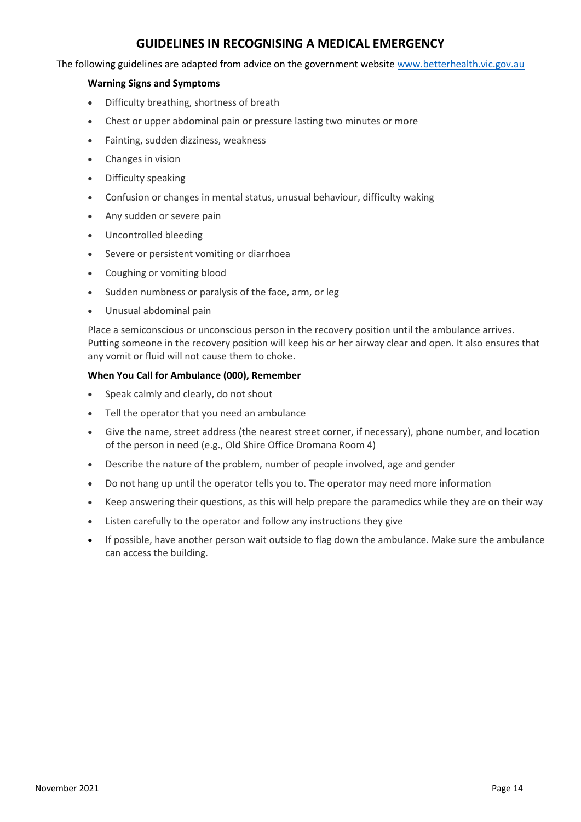# **GUIDELINES IN RECOGNISING A MEDICAL EMERGENCY**

<span id="page-16-0"></span>The following guidelines are adapted from advice on the government website [www.betterhealth.vic.gov.au](http://www.betterhealth.vic.gov.au/)

#### **Warning Signs and Symptoms**

- Difficulty breathing, shortness of breath
- Chest or upper abdominal pain or pressure lasting two minutes or more
- Fainting, sudden dizziness, weakness
- Changes in vision
- Difficulty speaking
- Confusion or changes in mental status, unusual behaviour, difficulty waking
- Any sudden or severe pain
- Uncontrolled bleeding
- Severe or persistent vomiting or diarrhoea
- Coughing or vomiting blood
- Sudden numbness or paralysis of the face, arm, or leg
- Unusual abdominal pain

Place a semiconscious or unconscious person in the recovery position until the ambulance arrives. Putting someone in the recovery position will keep his or her airway clear and open. It also ensures that any vomit or fluid will not cause them to choke.

#### **When You Call for Ambulance (000), Remember**

- Speak calmly and clearly, do not shout
- Tell the operator that you need an ambulance
- Give the name, street address (the nearest street corner, if necessary), phone number, and location of the person in need (e.g., Old Shire Office Dromana Room 4)
- Describe the nature of the problem, number of people involved, age and gender
- Do not hang up until the operator tells you to. The operator may need more information
- Keep answering their questions, as this will help prepare the paramedics while they are on their way
- Listen carefully to the operator and follow any instructions they give
- If possible, have another person wait outside to flag down the ambulance. Make sure the ambulance can access the building.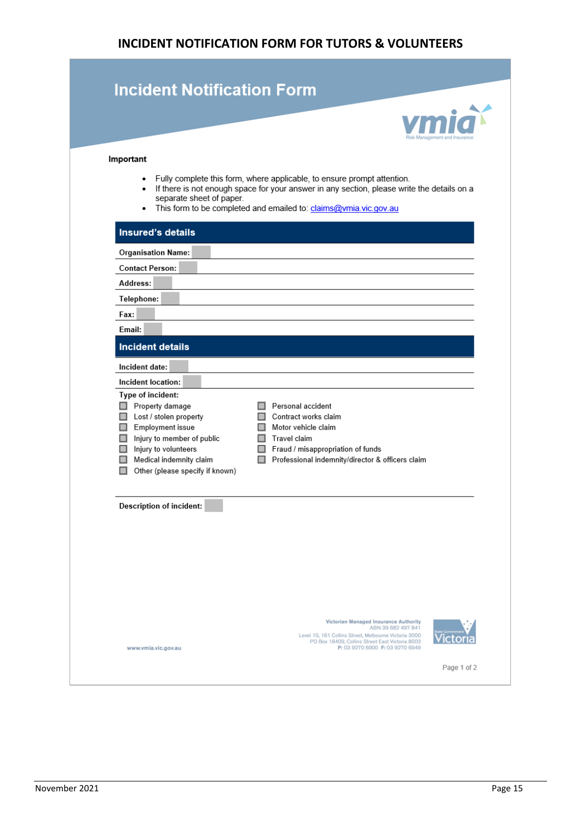# **INCIDENT NOTIFICATION FORM FOR TUTORS & VOLUNTEERS**

<span id="page-17-0"></span>

| <b>Incident Notification Form</b>                                                                                                                                                                      |                                                                                                                                                                                                                                                 |
|--------------------------------------------------------------------------------------------------------------------------------------------------------------------------------------------------------|-------------------------------------------------------------------------------------------------------------------------------------------------------------------------------------------------------------------------------------------------|
|                                                                                                                                                                                                        |                                                                                                                                                                                                                                                 |
| Important                                                                                                                                                                                              |                                                                                                                                                                                                                                                 |
| separate sheet of paper.                                                                                                                                                                               | • Fully complete this form, where applicable, to ensure prompt attention.<br>• If there is not enough space for your answer in any section, please write the details on a<br>• This form to be completed and emailed to: claims@vmia.vic.gov.au |
| <b>Insured's details</b>                                                                                                                                                                               |                                                                                                                                                                                                                                                 |
| <b>Organisation Name:</b>                                                                                                                                                                              |                                                                                                                                                                                                                                                 |
| <b>Contact Person:</b>                                                                                                                                                                                 |                                                                                                                                                                                                                                                 |
| Address:                                                                                                                                                                                               |                                                                                                                                                                                                                                                 |
| Telephone:                                                                                                                                                                                             |                                                                                                                                                                                                                                                 |
| Fax:                                                                                                                                                                                                   |                                                                                                                                                                                                                                                 |
| Email:                                                                                                                                                                                                 |                                                                                                                                                                                                                                                 |
| <b>Incident details</b>                                                                                                                                                                                |                                                                                                                                                                                                                                                 |
| Incident date:                                                                                                                                                                                         |                                                                                                                                                                                                                                                 |
| Incident location:                                                                                                                                                                                     |                                                                                                                                                                                                                                                 |
| Type of incident:<br>Property damage<br>Lost / stolen property<br>Employment issue<br>Injury to member of public<br>Injury to volunteers<br>Medical indemnity claim<br>Other (please specify if known) | □ Personal accident<br>□ Contract works claim<br>□ Motor vehicle claim<br>$\Box$ Travel claim<br>Fraud / misappropriation of funds<br>Professional indemnity/director & officers claim                                                          |
| <b>Description of incident:</b>                                                                                                                                                                        |                                                                                                                                                                                                                                                 |
|                                                                                                                                                                                                        |                                                                                                                                                                                                                                                 |
|                                                                                                                                                                                                        |                                                                                                                                                                                                                                                 |
|                                                                                                                                                                                                        |                                                                                                                                                                                                                                                 |
|                                                                                                                                                                                                        |                                                                                                                                                                                                                                                 |
|                                                                                                                                                                                                        |                                                                                                                                                                                                                                                 |
| www.vmia.vic.gov.au                                                                                                                                                                                    | Victorian Managed Insurance Authority<br>ABN 39 682 497 841<br>Level 10, 161 Collins Street, Melbourne Victoria 3000<br>PO Box 18409, Collins Street East Victoria 8003<br>P: 03 9270 6900 F: 03 9270 6949                                      |
|                                                                                                                                                                                                        | Page 1 of 2                                                                                                                                                                                                                                     |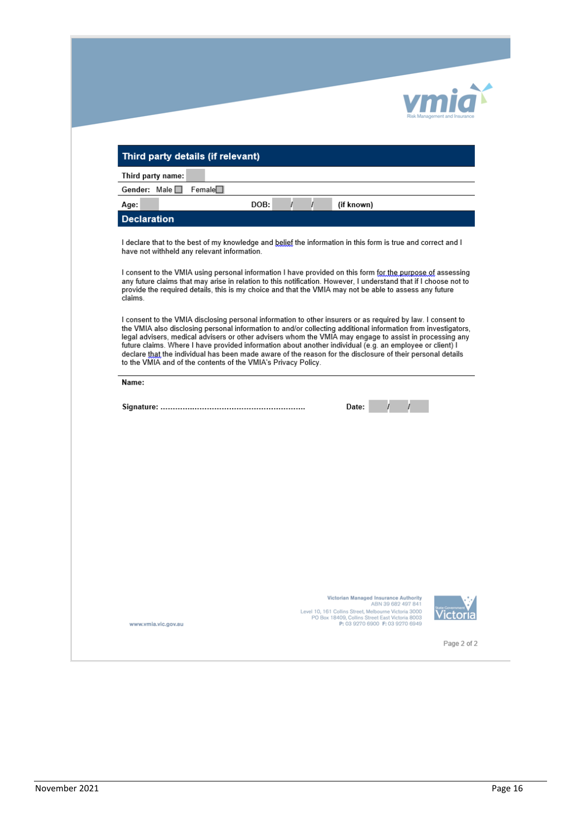| Third party details (if relevant)                                                                                                                                                                                                                                                                                                                                                                           |                                                                                                               |                                                                                                                                             |  |
|-------------------------------------------------------------------------------------------------------------------------------------------------------------------------------------------------------------------------------------------------------------------------------------------------------------------------------------------------------------------------------------------------------------|---------------------------------------------------------------------------------------------------------------|---------------------------------------------------------------------------------------------------------------------------------------------|--|
| Third party name:                                                                                                                                                                                                                                                                                                                                                                                           |                                                                                                               |                                                                                                                                             |  |
| Female<br>Gender: Male                                                                                                                                                                                                                                                                                                                                                                                      |                                                                                                               |                                                                                                                                             |  |
| Age:                                                                                                                                                                                                                                                                                                                                                                                                        | DOB:                                                                                                          | (if known)                                                                                                                                  |  |
| <b>Declaration</b>                                                                                                                                                                                                                                                                                                                                                                                          |                                                                                                               |                                                                                                                                             |  |
| have not withheld any relevant information.<br>I consent to the VMIA using personal information I have provided on this form for the purpose of assessing<br>any future claims that may arise in relation to this notification. However, I understand that if I choose not to<br>provide the required details, this is my choice and that the VMIA may not be able to assess any future<br>claims.          |                                                                                                               |                                                                                                                                             |  |
|                                                                                                                                                                                                                                                                                                                                                                                                             | the VMIA also disclosing personal information to and/or collecting additional information from investigators, |                                                                                                                                             |  |
| legal advisers, medical advisers or other advisers whom the VMIA may engage to assist in processing any<br>future claims. Where I have provided information about another individual (e.g. an employee or client) I<br>declare that the individual has been made aware of the reason for the disclosure of their personal details<br>to the VMIA and of the contents of the VMIA's Privacy Policy.<br>Name: |                                                                                                               |                                                                                                                                             |  |
|                                                                                                                                                                                                                                                                                                                                                                                                             |                                                                                                               | Date:                                                                                                                                       |  |
|                                                                                                                                                                                                                                                                                                                                                                                                             |                                                                                                               |                                                                                                                                             |  |
|                                                                                                                                                                                                                                                                                                                                                                                                             |                                                                                                               |                                                                                                                                             |  |
|                                                                                                                                                                                                                                                                                                                                                                                                             |                                                                                                               |                                                                                                                                             |  |
|                                                                                                                                                                                                                                                                                                                                                                                                             |                                                                                                               |                                                                                                                                             |  |
|                                                                                                                                                                                                                                                                                                                                                                                                             |                                                                                                               |                                                                                                                                             |  |
|                                                                                                                                                                                                                                                                                                                                                                                                             |                                                                                                               |                                                                                                                                             |  |
|                                                                                                                                                                                                                                                                                                                                                                                                             |                                                                                                               |                                                                                                                                             |  |
|                                                                                                                                                                                                                                                                                                                                                                                                             |                                                                                                               |                                                                                                                                             |  |
|                                                                                                                                                                                                                                                                                                                                                                                                             |                                                                                                               |                                                                                                                                             |  |
|                                                                                                                                                                                                                                                                                                                                                                                                             |                                                                                                               | Victorian Managed Insurance Authority<br>ABN 39 682 497 841                                                                                 |  |
| www.vmia.vic.gov.au                                                                                                                                                                                                                                                                                                                                                                                         |                                                                                                               | Level 10, 161 Collins Street, Melbourne Victoria 3000<br>PO Box 18409, Collins Street East Victoria 8003<br>P: 03 9270 6900 F: 03 9270 6949 |  |